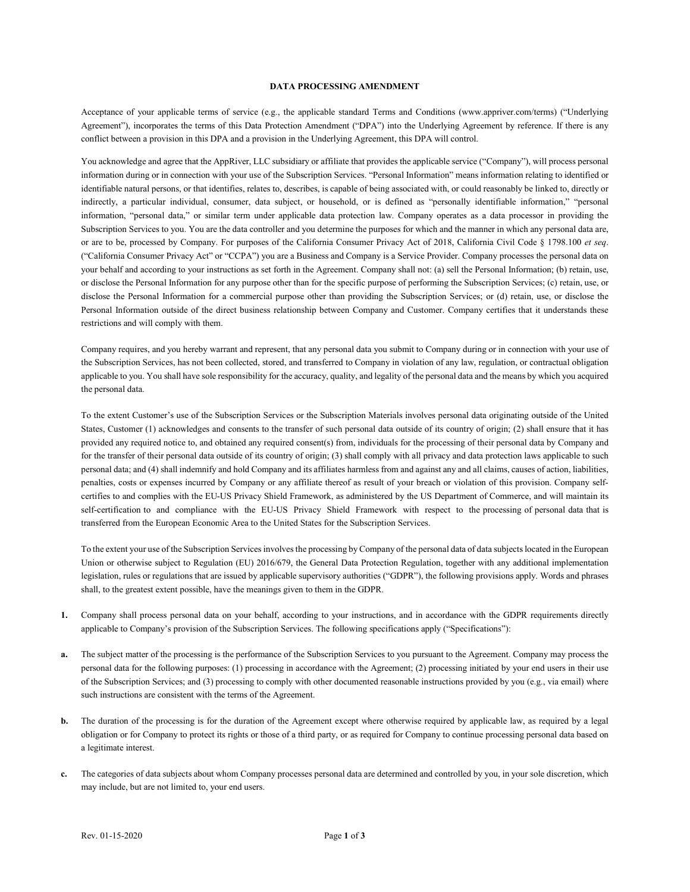## **DATA PROCESSING AMENDMENT**

Acceptance of your applicable terms of service (e.g., the applicable standard Terms and Conditions (www.appriver.com/terms) ("Underlying Agreement"), incorporates the terms of this Data Protection Amendment ("DPA") into the Underlying Agreement by reference. If there is any conflict between a provision in this DPA and a provision in the Underlying Agreement, this DPA will control.

You acknowledge and agree that the AppRiver, LLC subsidiary or affiliate that provides the applicable service ("Company"), will process personal information during or in connection with your use of the Subscription Services. "Personal Information" means information relating to identified or identifiable natural persons, or that identifies, relates to, describes, is capable of being associated with, or could reasonably be linked to, directly or indirectly, a particular individual, consumer, data subject, or household, or is defined as "personally identifiable information," "personal information, "personal data," or similar term under applicable data protection law. Company operates as a data processor in providing the Subscription Services to you. You are the data controller and you determine the purposes for which and the manner in which any personal data are, or are to be, processed by Company. For purposes of the California Consumer Privacy Act of 2018, California Civil Code § 1798.100 *et seq*. ("California Consumer Privacy Act" or "CCPA") you are a Business and Company is a Service Provider. Company processes the personal data on your behalf and according to your instructions as set forth in the Agreement. Company shall not: (a) sell the Personal Information; (b) retain, use, or disclose the Personal Information for any purpose other than for the specific purpose of performing the Subscription Services; (c) retain, use, or disclose the Personal Information for a commercial purpose other than providing the Subscription Services; or (d) retain, use, or disclose the Personal Information outside of the direct business relationship between Company and Customer. Company certifies that it understands these restrictions and will comply with them.

Company requires, and you hereby warrant and represent, that any personal data you submit to Company during or in connection with your use of the Subscription Services, has not been collected, stored, and transferred to Company in violation of any law, regulation, or contractual obligation applicable to you. You shall have sole responsibility for the accuracy, quality, and legality of the personal data and the means by which you acquired the personal data.

To the extent Customer's use of the Subscription Services or the Subscription Materials involves personal data originating outside of the United States, Customer (1) acknowledges and consents to the transfer of such personal data outside of its country of origin; (2) shall ensure that it has provided any required notice to, and obtained any required consent(s) from, individuals for the processing of their personal data by Company and for the transfer of their personal data outside of its country of origin; (3) shall comply with all privacy and data protection laws applicable to such personal data; and (4) shall indemnify and hold Company and its affiliates harmless from and against any and all claims, causes of action, liabilities, penalties, costs or expenses incurred by Company or any affiliate thereof as result of your breach or violation of this provision. Company selfcertifies to and complies with the EU-US Privacy Shield Framework, as administered by the US Department of Commerce, and will maintain its self-certification to and compliance with the EU-US Privacy Shield Framework with respect to the processing of personal data that is transferred from the European Economic Area to the United States for the Subscription Services.

To the extent your use of the Subscription Services involves the processing by Company of the personal data of data subjects located in the European Union or otherwise subject to Regulation (EU) 2016/679, the General Data Protection Regulation, together with any additional implementation legislation, rules or regulations that are issued by applicable supervisory authorities ("GDPR"), the following provisions apply. Words and phrases shall, to the greatest extent possible, have the meanings given to them in the GDPR.

- **1.** Company shall process personal data on your behalf, according to your instructions, and in accordance with the GDPR requirements directly applicable to Company's provision of the Subscription Services. The following specifications apply ("Specifications"):
- **a.** The subject matter of the processing is the performance of the Subscription Services to you pursuant to the Agreement. Company may process the personal data for the following purposes: (1) processing in accordance with the Agreement; (2) processing initiated by your end users in their use of the Subscription Services; and (3) processing to comply with other documented reasonable instructions provided by you (e.g., via email) where such instructions are consistent with the terms of the Agreement.
- **b.** The duration of the processing is for the duration of the Agreement except where otherwise required by applicable law, as required by a legal obligation or for Company to protect its rights or those of a third party, or as required for Company to continue processing personal data based on a legitimate interest.
- **c.** The categories of data subjects about whom Company processes personal data are determined and controlled by you, in your sole discretion, which may include, but are not limited to, your end users.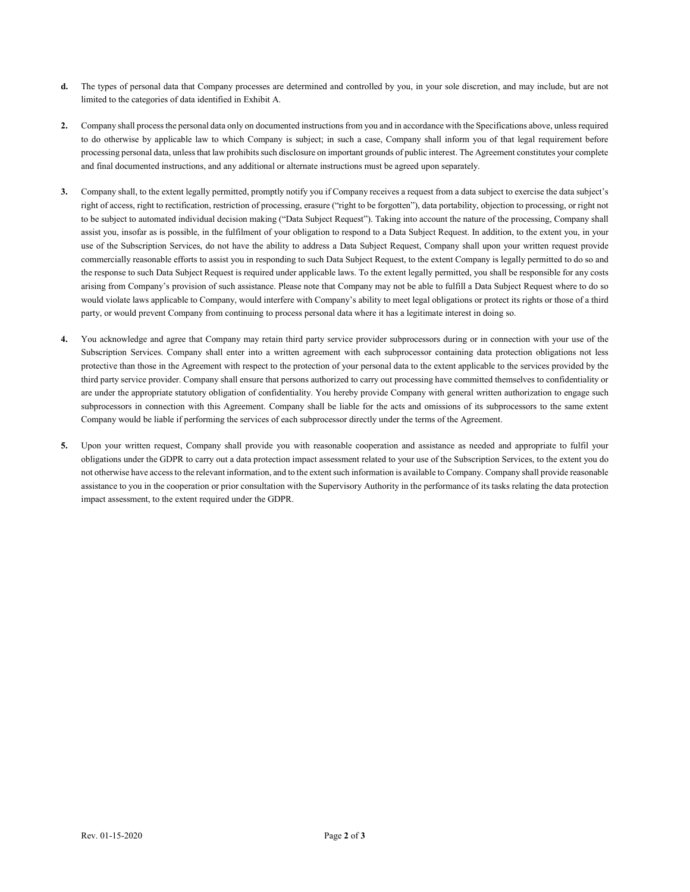- **d.** The types of personal data that Company processes are determined and controlled by you, in your sole discretion, and may include, but are not limited to the categories of data identified in Exhibit A.
- **2.** Company shall process the personal data only on documented instructions from you and in accordance with the Specifications above, unless required to do otherwise by applicable law to which Company is subject; in such a case, Company shall inform you of that legal requirement before processing personal data, unless that law prohibits such disclosure on important grounds of public interest. The Agreement constitutes your complete and final documented instructions, and any additional or alternate instructions must be agreed upon separately.
- **3.** Company shall, to the extent legally permitted, promptly notify you if Company receives a request from a data subject to exercise the data subject's right of access, right to rectification, restriction of processing, erasure ("right to be forgotten"), data portability, objection to processing, or right not to be subject to automated individual decision making ("Data Subject Request"). Taking into account the nature of the processing, Company shall assist you, insofar as is possible, in the fulfilment of your obligation to respond to a Data Subject Request. In addition, to the extent you, in your use of the Subscription Services, do not have the ability to address a Data Subject Request, Company shall upon your written request provide commercially reasonable efforts to assist you in responding to such Data Subject Request, to the extent Company is legally permitted to do so and the response to such Data Subject Request is required under applicable laws. To the extent legally permitted, you shall be responsible for any costs arising from Company's provision of such assistance. Please note that Company may not be able to fulfill a Data Subject Request where to do so would violate laws applicable to Company, would interfere with Company's ability to meet legal obligations or protect its rights or those of a third party, or would prevent Company from continuing to process personal data where it has a legitimate interest in doing so.
- **4.** You acknowledge and agree that Company may retain third party service provider subprocessors during or in connection with your use of the Subscription Services. Company shall enter into a written agreement with each subprocessor containing data protection obligations not less protective than those in the Agreement with respect to the protection of your personal data to the extent applicable to the services provided by the third party service provider. Company shall ensure that persons authorized to carry out processing have committed themselves to confidentiality or are under the appropriate statutory obligation of confidentiality. You hereby provide Company with general written authorization to engage such subprocessors in connection with this Agreement. Company shall be liable for the acts and omissions of its subprocessors to the same extent Company would be liable if performing the services of each subprocessor directly under the terms of the Agreement.
- **5.** Upon your written request, Company shall provide you with reasonable cooperation and assistance as needed and appropriate to fulfil your obligations under the GDPR to carry out a data protection impact assessment related to your use of the Subscription Services, to the extent you do not otherwise have access to the relevant information, and to the extent such information is available to Company. Company shall provide reasonable assistance to you in the cooperation or prior consultation with the Supervisory Authority in the performance of its tasks relating the data protection impact assessment, to the extent required under the GDPR.